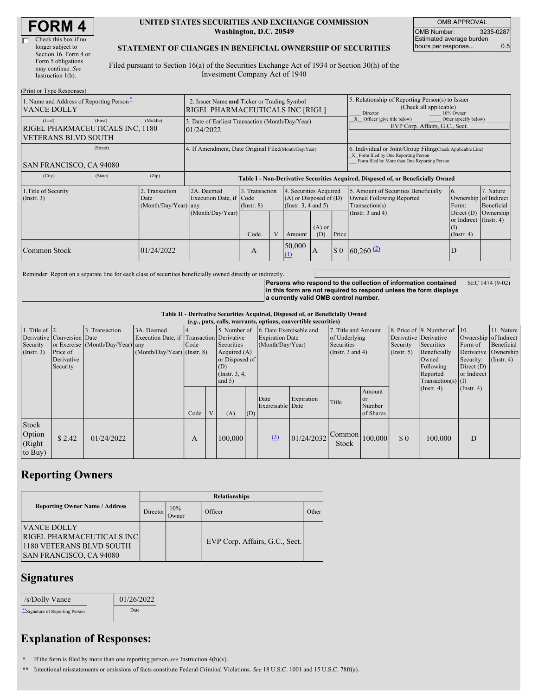| <b>FORM4</b> |  |
|--------------|--|
|--------------|--|

#### **UNITED STATES SECURITIES AND EXCHANGE COMMISSION Washington, D.C. 20549**

OMB APPROVAL OMB Number: 3235-0287 Estimated average burden hours per response... 0.5

#### **STATEMENT OF CHANGES IN BENEFICIAL OWNERSHIP OF SECURITIES**

Filed pursuant to Section 16(a) of the Securities Exchange Act of 1934 or Section 30(h) of the Investment Company Act of 1940

| (Print or Type Responses)                                                   |                                                |                                                                                  |                                   |  |                                                                              |                 |                                                                                                                                                    |                                                                                                                    |                                                                 |                                      |  |
|-----------------------------------------------------------------------------|------------------------------------------------|----------------------------------------------------------------------------------|-----------------------------------|--|------------------------------------------------------------------------------|-----------------|----------------------------------------------------------------------------------------------------------------------------------------------------|--------------------------------------------------------------------------------------------------------------------|-----------------------------------------------------------------|--------------------------------------|--|
| 1. Name and Address of Reporting Person-<br><b>VANCE DOLLY</b>              |                                                | 2. Issuer Name and Ticker or Trading Symbol<br>RIGEL PHARMACEUTICALS INC [RIGL]  |                                   |  |                                                                              |                 |                                                                                                                                                    | 5. Relationship of Reporting Person(s) to Issuer<br>(Check all applicable)<br>Director<br>10% Owner                |                                                                 |                                      |  |
| (First)<br>(Last)<br>RIGEL PHARMACEUTICALS INC, 1180<br>VETERANS BLVD SOUTH | (Middle)                                       | 3. Date of Earliest Transaction (Month/Day/Year)<br>01/24/2022                   |                                   |  |                                                                              |                 |                                                                                                                                                    | Other (specify below)<br>X Officer (give title below)<br>EVP Corp. Affairs, G.C., Sect.                            |                                                                 |                                      |  |
| (Street)<br><b>SAN FRANCISCO, CA 94080</b>                                  |                                                | 4. If Amendment, Date Original Filed Month/Day/Year)                             |                                   |  |                                                                              |                 | 6. Individual or Joint/Group Filing Check Applicable Line)<br>X Form filed by One Reporting Person<br>Form filed by More than One Reporting Person |                                                                                                                    |                                                                 |                                      |  |
| (City)<br>(State)                                                           | (Zip)                                          | Table I - Non-Derivative Securities Acquired, Disposed of, or Beneficially Owned |                                   |  |                                                                              |                 |                                                                                                                                                    |                                                                                                                    |                                                                 |                                      |  |
| 1. Title of Security<br>(Insert. 3)                                         | 2. Transaction<br>Date<br>(Month/Day/Year) any | 2A. Deemed<br>Execution Date, if Code<br>(Month/Day/Year)                        | 3. Transaction<br>$($ Instr. $8)$ |  | 4. Securities Acquired<br>$(A)$ or Disposed of $(D)$<br>(Insert. 3, 4 and 5) |                 |                                                                                                                                                    | 5. Amount of Securities Beneficially<br><b>Owned Following Reported</b><br>Transaction(s)<br>(Instr. $3$ and $4$ ) | <sup>6.</sup><br>Ownership of Indirect<br>Form:<br>Direct $(D)$ | 7. Nature<br>Beneficial<br>Ownership |  |
|                                                                             |                                                |                                                                                  | Code                              |  | Amount                                                                       | $(A)$ or<br>(D) | Price                                                                                                                                              |                                                                                                                    | or Indirect (Instr. 4)<br>(I)<br>$($ Instr. 4 $)$               |                                      |  |
| Common Stock                                                                | 01/24/2022                                     |                                                                                  | A                                 |  | 50,000<br>$\Omega$                                                           | IA              | $\Omega$                                                                                                                                           | $60,260$ <sup>(2)</sup>                                                                                            | D                                                               |                                      |  |

Reminder: Report on a separate line for each class of securities beneficially owned directly or indirectly.

**Persons who respond to the collection of information contained in this form are not required to respond unless the form displays a currently valid OMB control number.** SEC 1474 (9-02)

**Table II - Derivative Securities Acquired, Disposed of, or Beneficially Owned**

|                                               | (e.g., puts, calls, warrants, options, convertible securities) |                                                    |                                                                                          |      |   |                                                      |                                                                                    |                          |            |                                                                             |                                            |                                                    |                                                                    |                                                          |                          |
|-----------------------------------------------|----------------------------------------------------------------|----------------------------------------------------|------------------------------------------------------------------------------------------|------|---|------------------------------------------------------|------------------------------------------------------------------------------------|--------------------------|------------|-----------------------------------------------------------------------------|--------------------------------------------|----------------------------------------------------|--------------------------------------------------------------------|----------------------------------------------------------|--------------------------|
| 1. Title of $ 2$ .<br>Security<br>(Insert. 3) | Derivative Conversion Date<br>Price of                         | 3. Transaction<br>or Exercise (Month/Day/Year) any | 3A. Deemed<br>Execution Date, if Transaction Derivative<br>$(Month/Day/Year)$ (Instr. 8) | Code |   | Securities<br>Acquired (A)                           | 5. Number of 6. Date Exercisable and<br><b>Expiration Date</b><br>(Month/Day/Year) |                          |            | 7. Title and Amount<br>of Underlying<br>Securities<br>(Instr. $3$ and $4$ ) |                                            | Derivative Derivative<br>Security<br>$($ Instr. 5) | 8. Price of 9. Number of $\vert$ 10.<br>Securities<br>Beneficially | Ownership of Indirect<br>Form of<br>Derivative Ownership | 11. Nature<br>Beneficial |
|                                               | Derivative<br>Security                                         |                                                    |                                                                                          |      |   | or Disposed of<br>(D)<br>(Instr. $3, 4,$<br>and $5)$ |                                                                                    |                          |            |                                                                             |                                            |                                                    | Owned<br>Following<br>Reported<br>$Transaction(s)$ (I)             | Security:<br>Direct $(D)$<br>or Indirect                 | $($ Instr. 4 $)$         |
|                                               |                                                                |                                                    |                                                                                          | Code | V | (A)                                                  | (D)                                                                                | Date<br>Exercisable Date | Expiration | Title                                                                       | Amount<br><b>or</b><br>Number<br>of Shares |                                                    | $($ Instr. 4 $)$                                                   | $($ Instr. 4 $)$                                         |                          |
| Stock<br>Option<br>(Right<br>to Buy)          | \$2.42                                                         | 01/24/2022                                         |                                                                                          | А    |   | 100,000                                              |                                                                                    | (3)                      | 01/24/2032 | Common<br>Stock                                                             | 100,000                                    | $\boldsymbol{\mathsf{S}}$ 0                        | 100,000                                                            | D                                                        |                          |

# **Reporting Owners**

|                                                                                                                      | <b>Relationships</b> |                      |                                |       |  |  |  |  |  |
|----------------------------------------------------------------------------------------------------------------------|----------------------|----------------------|--------------------------------|-------|--|--|--|--|--|
| <b>Reporting Owner Name / Address</b>                                                                                | Director             | 10%<br><b>J</b> wner | Officer                        | Other |  |  |  |  |  |
| <b>VANCE DOLLY</b><br><b>RIGEL PHARMACEUTICALS INC</b><br>1180 VETERANS BLVD SOUTH<br><b>SAN FRANCISCO, CA 94080</b> |                      |                      | EVP Corp. Affairs, G.C., Sect. |       |  |  |  |  |  |

### **Signatures**

| /s/Dolly Vance                | 01/26/2022  |
|-------------------------------|-------------|
| Signature of Reporting Person | <b>Date</b> |

## **Explanation of Responses:**

**\*** If the form is filed by more than one reporting person,*see* Instruction 4(b)(v).

**\*\*** Intentional misstatements or omissions of facts constitute Federal Criminal Violations. *See* 18 U.S.C. 1001 and 15 U.S.C. 78ff(a).